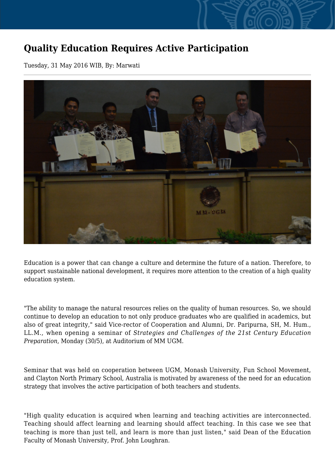## **Quality Education Requires Active Participation**

Tuesday, 31 May 2016 WIB, By: Marwati



Education is a power that can change a culture and determine the future of a nation. Therefore, to support sustainable national development, it requires more attention to the creation of a high quality education system.

"The ability to manage the natural resources relies on the quality of human resources. So, we should continue to develop an education to not only produce graduates who are qualified in academics, but also of great integrity," said Vice-rector of Cooperation and Alumni, Dr. Paripurna, SH, M. Hum., LL.M., when opening a seminar of *Strategies and Challenges of the 21st Century Education Preparation*, Monday (30/5), at Auditorium of MM UGM.

Seminar that was held on cooperation between UGM, Monash University, Fun School Movement, and Clayton North Primary School, Australia is motivated by awareness of the need for an education strategy that involves the active participation of both teachers and students.

"High quality education is acquired when learning and teaching activities are interconnected. Teaching should affect learning and learning should affect teaching. In this case we see that teaching is more than just tell, and learn is more than just listen," said Dean of the Education Faculty of Monash University, Prof. John Loughran.